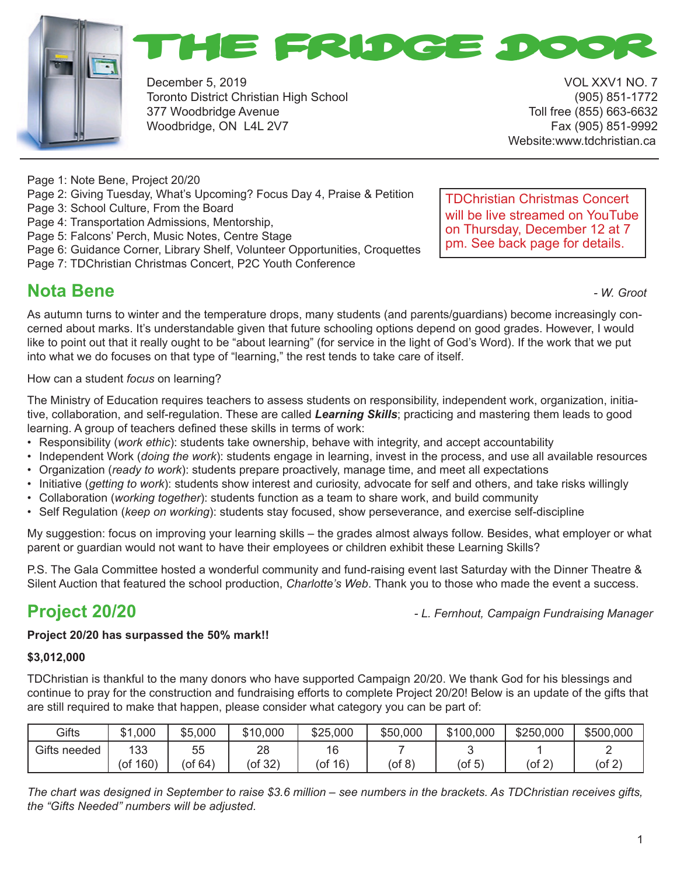



December 5, 2019 VOL XXV1 NO. 7 Toronto District Christian High School (905) 851-1772 377 Woodbridge Avenue Toll free (855) 663-6632 Woodbridge, ON L4L 2V7 Fax (905) 851-9992

Website:www.tdchristian.ca

Page 1: Note Bene, Project 20/20

- Page 2: Giving Tuesday, What's Upcoming? Focus Day 4, Praise & Petition
- Page 3: School Culture, From the Board
- Page 4: Transportation Admissions, Mentorship,
- Page 5: Falcons' Perch, Music Notes, Centre Stage
- Page 6: Guidance Corner, Library Shelf, Volunteer Opportunities, Croquettes
- Page 7: TDChristian Christmas Concert, P2C Youth Conference

#### **Nota Bene Nota Bene** *- W. Groot*

TDChristian Christmas Concert will be live streamed on YouTube on Thursday, December 12 at 7 pm. See back page for details.

As autumn turns to winter and the temperature drops, many students (and parents/guardians) become increasingly concerned about marks. It's understandable given that future schooling options depend on good grades. However, I would like to point out that it really ought to be "about learning" (for service in the light of God's Word). If the work that we put into what we do focuses on that type of "learning," the rest tends to take care of itself.

How can a student *focus* on learning?

The Ministry of Education requires teachers to assess students on responsibility, independent work, organization, initiative, collaboration, and self-regulation. These are called *Learning Skills*; practicing and mastering them leads to good learning. A group of teachers defined these skills in terms of work:

- Responsibility (*work ethic*): students take ownership, behave with integrity, and accept accountability
- Independent Work (*doing the work*): students engage in learning, invest in the process, and use all available resources
- Organization (*ready to work*): students prepare proactively, manage time, and meet all expectations
- Initiative (*getting to work*): students show interest and curiosity, advocate for self and others, and take risks willingly
- Collaboration (*working together*): students function as a team to share work, and build community
- Self Regulation (*keep on working*): students stay focused, show perseverance, and exercise self-discipline

My suggestion: focus on improving your learning skills – the grades almost always follow. Besides, what employer or what parent or guardian would not want to have their employees or children exhibit these Learning Skills?

P.S. The Gala Committee hosted a wonderful community and fund-raising event last Saturday with the Dinner Theatre & Silent Auction that featured the school production, *Charlotte's Web*. Thank you to those who made the event a success.

**Project 20/20** *- L. Fernhout, Campaign Fundraising Manager*

#### **Project 20/20 has surpassed the 50% mark!!**

#### **\$3,012,000**

TDChristian is thankful to the many donors who have supported Campaign 20/20. We thank God for his blessings and continue to pray for the construction and fundraising efforts to complete Project 20/20! Below is an update of the gifts that are still required to make that happen, please consider what category you can be part of:

| <b>Gifts</b>    | .000<br>ሰ 4<br>ا دت | \$5,000       | \$10,000 | \$25,000     | \$50,000  | \$100,000 | \$250,000    | \$500,000    |
|-----------------|---------------------|---------------|----------|--------------|-----------|-----------|--------------|--------------|
| Gifts<br>needed | 133                 | 55            | 28       | 16<br>$\sim$ |           |           |              |              |
|                 | 160)<br>of,         | $($ of 64 $)$ | (of 32)  | 16)<br>(ot   | $($ of 8) | $($ of 5) | $($ of 2 $)$ | $($ of 2 $)$ |

*The chart was designed in September to raise \$3.6 million – see numbers in the brackets. As TDChristian receives gifts, the "Gifts Needed" numbers will be adjusted.*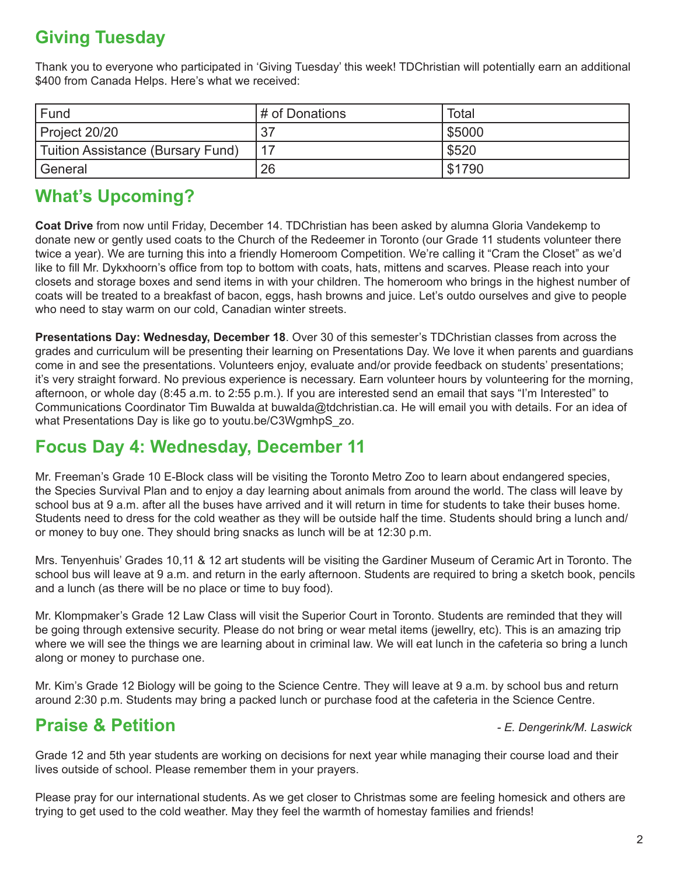# **Giving Tuesday**

Thank you to everyone who participated in 'Giving Tuesday' this week! TDChristian will potentially earn an additional \$400 from Canada Helps. Here's what we received:

| Fund                              | # of Donations | Total  |
|-----------------------------------|----------------|--------|
| Project 20/20                     | -27            | 55000  |
| Tuition Assistance (Bursary Fund) |                | \$520  |
| General                           | 26             | \$1790 |

## **What's Upcoming?**

**Coat Drive** from now until Friday, December 14. TDChristian has been asked by alumna Gloria Vandekemp to donate new or gently used coats to the Church of the Redeemer in Toronto (our Grade 11 students volunteer there twice a year). We are turning this into a friendly Homeroom Competition. We're calling it "Cram the Closet" as we'd like to fill Mr. Dykxhoorn's office from top to bottom with coats, hats, mittens and scarves. Please reach into your closets and storage boxes and send items in with your children. The homeroom who brings in the highest number of coats will be treated to a breakfast of bacon, eggs, hash browns and juice. Let's outdo ourselves and give to people who need to stay warm on our cold, Canadian winter streets.

**Presentations Day: Wednesday, December 18**. Over 30 of this semester's TDChristian classes from across the grades and curriculum will be presenting their learning on Presentations Day. We love it when parents and guardians come in and see the presentations. Volunteers enjoy, evaluate and/or provide feedback on students' presentations; it's very straight forward. No previous experience is necessary. Earn volunteer hours by volunteering for the morning, afternoon, or whole day (8:45 a.m. to 2:55 p.m.). If you are interested send an email that says "I'm Interested" to Communications Coordinator Tim Buwalda at buwalda@tdchristian.ca. He will email you with details. For an idea of what Presentations Day is like go to youtu.be/C3WgmhpS\_zo.

## **Focus Day 4: Wednesday, December 11**

Mr. Freeman's Grade 10 E-Block class will be visiting the Toronto Metro Zoo to learn about endangered species, the Species Survival Plan and to enjoy a day learning about animals from around the world. The class will leave by school bus at 9 a.m. after all the buses have arrived and it will return in time for students to take their buses home. Students need to dress for the cold weather as they will be outside half the time. Students should bring a lunch and/ or money to buy one. They should bring snacks as lunch will be at 12:30 p.m.

Mrs. Tenyenhuis' Grades 10,11 & 12 art students will be visiting the Gardiner Museum of Ceramic Art in Toronto. The school bus will leave at 9 a.m. and return in the early afternoon. Students are required to bring a sketch book, pencils and a lunch (as there will be no place or time to buy food).

Mr. Klompmaker's Grade 12 Law Class will visit the Superior Court in Toronto. Students are reminded that they will be going through extensive security. Please do not bring or wear metal items (jewellry, etc). This is an amazing trip where we will see the things we are learning about in criminal law. We will eat lunch in the cafeteria so bring a lunch along or money to purchase one.

Mr. Kim's Grade 12 Biology will be going to the Science Centre. They will leave at 9 a.m. by school bus and return around 2:30 p.m. Students may bring a packed lunch or purchase food at the cafeteria in the Science Centre.

## **Praise & Petition** *- E. Dengerink/M. Laswick*

Grade 12 and 5th year students are working on decisions for next year while managing their course load and their lives outside of school. Please remember them in your prayers.

Please pray for our international students. As we get closer to Christmas some are feeling homesick and others are trying to get used to the cold weather. May they feel the warmth of homestay families and friends!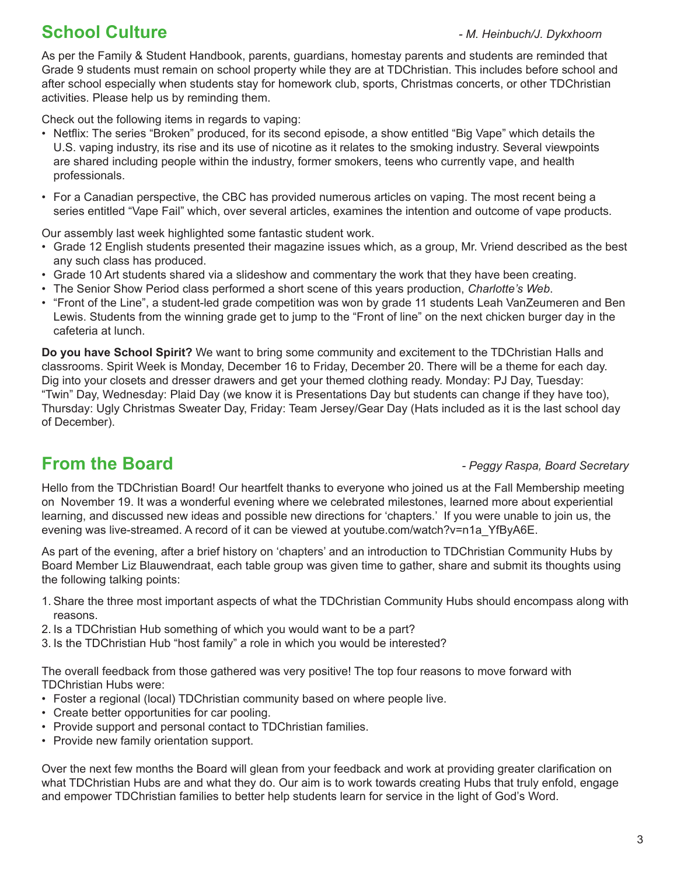# **School Culture** *- M. Heinbuch/J. Dykxhoorn*

As per the Family & Student Handbook, parents, guardians, homestay parents and students are reminded that Grade 9 students must remain on school property while they are at TDChristian. This includes before school and after school especially when students stay for homework club, sports, Christmas concerts, or other TDChristian activities. Please help us by reminding them.

Check out the following items in regards to vaping:

- Netflix: The series "Broken" produced, for its second episode, a show entitled "Big Vape" which details the U.S. vaping industry, its rise and its use of nicotine as it relates to the smoking industry. Several viewpoints are shared including people within the industry, former smokers, teens who currently vape, and health professionals.
- For a Canadian perspective, the CBC has provided numerous articles on vaping. The most recent being a series entitled "Vape Fail" which, over several articles, examines the intention and outcome of vape products.

Our assembly last week highlighted some fantastic student work.

- Grade 12 English students presented their magazine issues which, as a group, Mr. Vriend described as the best any such class has produced.
- Grade 10 Art students shared via a slideshow and commentary the work that they have been creating.
- The Senior Show Period class performed a short scene of this years production, *Charlotte's Web*.
- "Front of the Line", a student-led grade competition was won by grade 11 students Leah VanZeumeren and Ben Lewis. Students from the winning grade get to jump to the "Front of line" on the next chicken burger day in the cafeteria at lunch.

**Do you have School Spirit?** We want to bring some community and excitement to the TDChristian Halls and classrooms. Spirit Week is Monday, December 16 to Friday, December 20. There will be a theme for each day. Dig into your closets and dresser drawers and get your themed clothing ready. Monday: PJ Day, Tuesday: "Twin" Day, Wednesday: Plaid Day (we know it is Presentations Day but students can change if they have too), Thursday: Ugly Christmas Sweater Day, Friday: Team Jersey/Gear Day (Hats included as it is the last school day of December).

#### **From the Board** *From the Board Peggy Raspa, Board Secretary*

Hello from the TDChristian Board! Our heartfelt thanks to everyone who joined us at the Fall Membership meeting on November 19. It was a wonderful evening where we celebrated milestones, learned more about experiential learning, and discussed new ideas and possible new directions for 'chapters.' If you were unable to join us, the evening was live-streamed. A record of it can be viewed at youtube.com/watch?v=n1a\_YfByA6E.

As part of the evening, after a brief history on 'chapters' and an introduction to TDChristian Community Hubs by Board Member Liz Blauwendraat, each table group was given time to gather, share and submit its thoughts using the following talking points:

- 1. Share the three most important aspects of what the TDChristian Community Hubs should encompass along with reasons.
- 2. Is a TDChristian Hub something of which you would want to be a part?
- 3. Is the TDChristian Hub "host family" a role in which you would be interested?

The overall feedback from those gathered was very positive! The top four reasons to move forward with TDChristian Hubs were:

- Foster a regional (local) TDChristian community based on where people live.
- Create better opportunities for car pooling.
- Provide support and personal contact to TDChristian families.
- Provide new family orientation support.

Over the next few months the Board will glean from your feedback and work at providing greater clarification on what TDChristian Hubs are and what they do. Our aim is to work towards creating Hubs that truly enfold, engage and empower TDChristian families to better help students learn for service in the light of God's Word.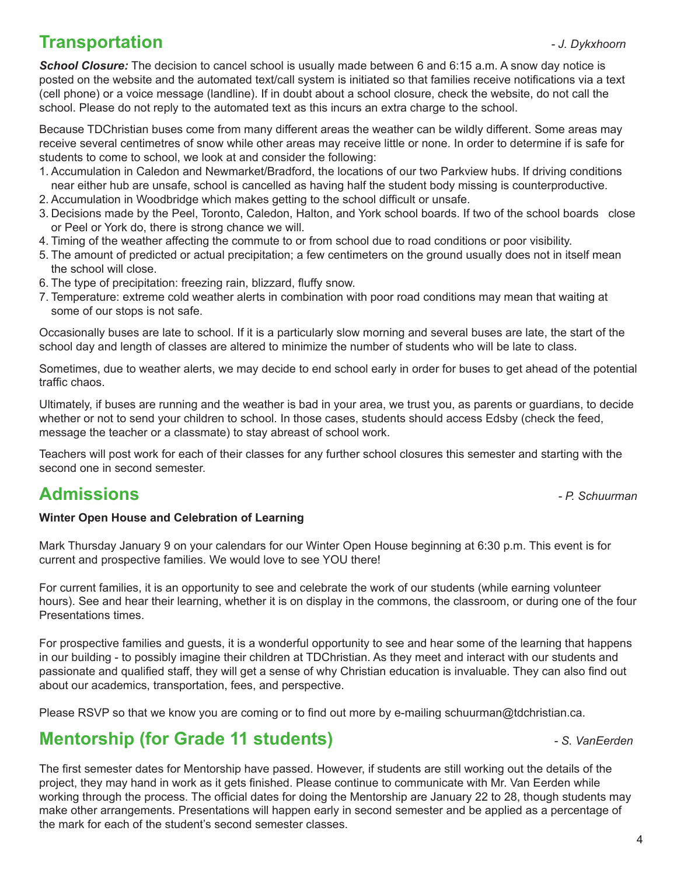## **Transportation** *- J. Dykxhoorn*

**School Closure:** The decision to cancel school is usually made between 6 and 6:15 a.m. A snow day notice is posted on the website and the automated text/call system is initiated so that families receive notifications via a text (cell phone) or a voice message (landline). If in doubt about a school closure, check the website, do not call the school. Please do not reply to the automated text as this incurs an extra charge to the school.

Because TDChristian buses come from many different areas the weather can be wildly different. Some areas may receive several centimetres of snow while other areas may receive little or none. In order to determine if is safe for students to come to school, we look at and consider the following:

- 1. Accumulation in Caledon and Newmarket/Bradford, the locations of our two Parkview hubs. If driving conditions near either hub are unsafe, school is cancelled as having half the student body missing is counterproductive.
- 2. Accumulation in Woodbridge which makes getting to the school difficult or unsafe.
- 3. Decisions made by the Peel, Toronto, Caledon, Halton, and York school boards. If two of the school boards close or Peel or York do, there is strong chance we will.
- 4. Timing of the weather affecting the commute to or from school due to road conditions or poor visibility.
- 5. The amount of predicted or actual precipitation; a few centimeters on the ground usually does not in itself mean the school will close.
- 6. The type of precipitation: freezing rain, blizzard, fluffy snow.
- 7. Temperature: extreme cold weather alerts in combination with poor road conditions may mean that waiting at some of our stops is not safe.

Occasionally buses are late to school. If it is a particularly slow morning and several buses are late, the start of the school day and length of classes are altered to minimize the number of students who will be late to class.

Sometimes, due to weather alerts, we may decide to end school early in order for buses to get ahead of the potential traffic chaos.

Ultimately, if buses are running and the weather is bad in your area, we trust you, as parents or guardians, to decide whether or not to send your children to school. In those cases, students should access Edsby (check the feed, message the teacher or a classmate) to stay abreast of school work.

Teachers will post work for each of their classes for any further school closures this semester and starting with the second one in second semester.

## **Admissions** *- P. Schuurman*

#### **Winter Open House and Celebration of Learning**

Mark Thursday January 9 on your calendars for our Winter Open House beginning at 6:30 p.m. This event is for current and prospective families. We would love to see YOU there!

For current families, it is an opportunity to see and celebrate the work of our students (while earning volunteer hours). See and hear their learning, whether it is on display in the commons, the classroom, or during one of the four Presentations times.

For prospective families and guests, it is a wonderful opportunity to see and hear some of the learning that happens in our building - to possibly imagine their children at TDChristian. As they meet and interact with our students and passionate and qualified staff, they will get a sense of why Christian education is invaluable. They can also find out about our academics, transportation, fees, and perspective.

Please RSVP so that we know you are coming or to find out more by e-mailing schuurman@tdchristian.ca.

## **Mentorship (for Grade 11 students)** *CD STAGE 20 AM 2 STAGE 20 AM 2 STAGE 3 AM 2 STAGE 20 AM 2 STAGE 3 AM 2 STAGE 3 AM 2 STAGE 3 AM 2 STAGE 3 AM 2 STAGE 3 AM 2 STAGE 3 AM 2 STAGE 3 AM 2 STAGE 3 AM 2 STAGE 3 AM 2 STAGE 3*

The first semester dates for Mentorship have passed. However, if students are still working out the details of the project, they may hand in work as it gets finished. Please continue to communicate with Mr. Van Eerden while working through the process. The official dates for doing the Mentorship are January 22 to 28, though students may make other arrangements. Presentations will happen early in second semester and be applied as a percentage of the mark for each of the student's second semester classes.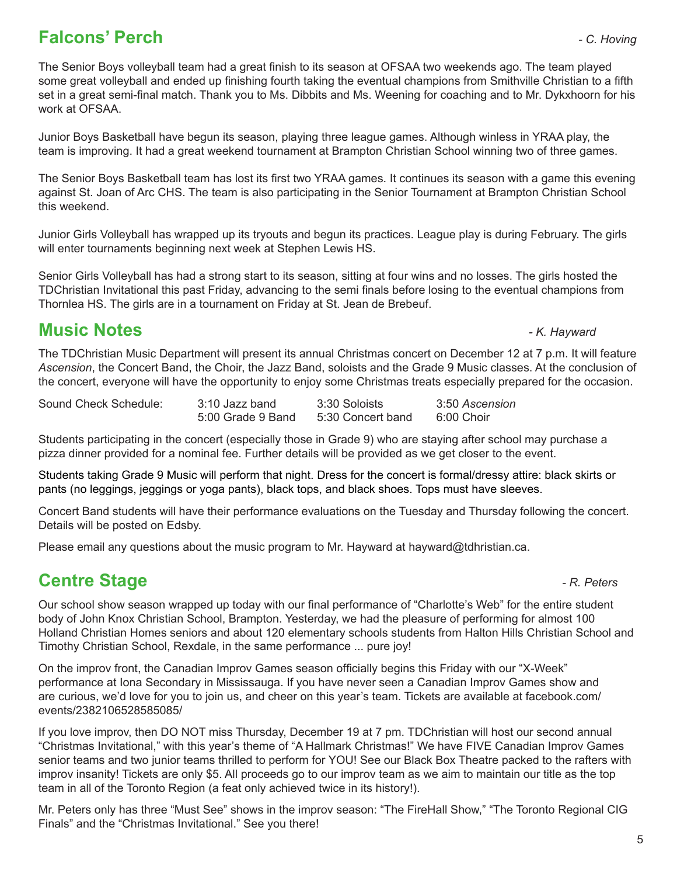## **Falcons' Perch** *- C. Hoving*

The Senior Boys volleyball team had a great finish to its season at OFSAA two weekends ago. The team played some great volleyball and ended up finishing fourth taking the eventual champions from Smithville Christian to a fifth set in a great semi-final match. Thank you to Ms. Dibbits and Ms. Weening for coaching and to Mr. Dykxhoorn for his work at OFSAA.

Junior Boys Basketball have begun its season, playing three league games. Although winless in YRAA play, the team is improving. It had a great weekend tournament at Brampton Christian School winning two of three games.

The Senior Boys Basketball team has lost its first two YRAA games. It continues its season with a game this evening against St. Joan of Arc CHS. The team is also participating in the Senior Tournament at Brampton Christian School this weekend.

Junior Girls Volleyball has wrapped up its tryouts and begun its practices. League play is during February. The girls will enter tournaments beginning next week at Stephen Lewis HS.

Senior Girls Volleyball has had a strong start to its season, sitting at four wins and no losses. The girls hosted the TDChristian Invitational this past Friday, advancing to the semi finals before losing to the eventual champions from Thornlea HS. The girls are in a tournament on Friday at St. Jean de Brebeuf.

## **Music Notes** *- K. Hayward*

The TDChristian Music Department will present its annual Christmas concert on December 12 at 7 p.m. It will feature *Ascension*, the Concert Band, the Choir, the Jazz Band, soloists and the Grade 9 Music classes. At the conclusion of the concert, everyone will have the opportunity to enjoy some Christmas treats especially prepared for the occasion.

| Sound Check Schedule: | 3:10 Jazz band    | 3:30 Soloists     | 3:50 Ascension |
|-----------------------|-------------------|-------------------|----------------|
|                       | 5:00 Grade 9 Band | 5:30 Concert band | 6:00 Choir     |

Students participating in the concert (especially those in Grade 9) who are staying after school may purchase a pizza dinner provided for a nominal fee. Further details will be provided as we get closer to the event.

Students taking Grade 9 Music will perform that night. Dress for the concert is formal/dressy attire: black skirts or pants (no leggings, jeggings or yoga pants), black tops, and black shoes. Tops must have sleeves.

Concert Band students will have their performance evaluations on the Tuesday and Thursday following the concert. Details will be posted on Edsby.

Please email any questions about the music program to Mr. Hayward at hayward@tdhristian.ca.

# **Centre Stage** *Centre Stage PR. Peters*

Our school show season wrapped up today with our final performance of "Charlotte's Web" for the entire student body of John Knox Christian School, Brampton. Yesterday, we had the pleasure of performing for almost 100 Holland Christian Homes seniors and about 120 elementary schools students from Halton Hills Christian School and Timothy Christian School, Rexdale, in the same performance ... pure joy!

On the improv front, the Canadian Improv Games season officially begins this Friday with our "X-Week" performance at Iona Secondary in Mississauga. If you have never seen a Canadian Improv Games show and are curious, we'd love for you to join us, and cheer on this year's team. Tickets are available at facebook.com/ events/2382106528585085/

If you love improv, then DO NOT miss Thursday, December 19 at 7 pm. TDChristian will host our second annual "Christmas Invitational," with this year's theme of "A Hallmark Christmas!" We have FIVE Canadian Improv Games senior teams and two junior teams thrilled to perform for YOU! See our Black Box Theatre packed to the rafters with improv insanity! Tickets are only \$5. All proceeds go to our improv team as we aim to maintain our title as the top team in all of the Toronto Region (a feat only achieved twice in its history!).

Mr. Peters only has three "Must See" shows in the improv season: "The FireHall Show," "The Toronto Regional CIG Finals" and the "Christmas Invitational." See you there!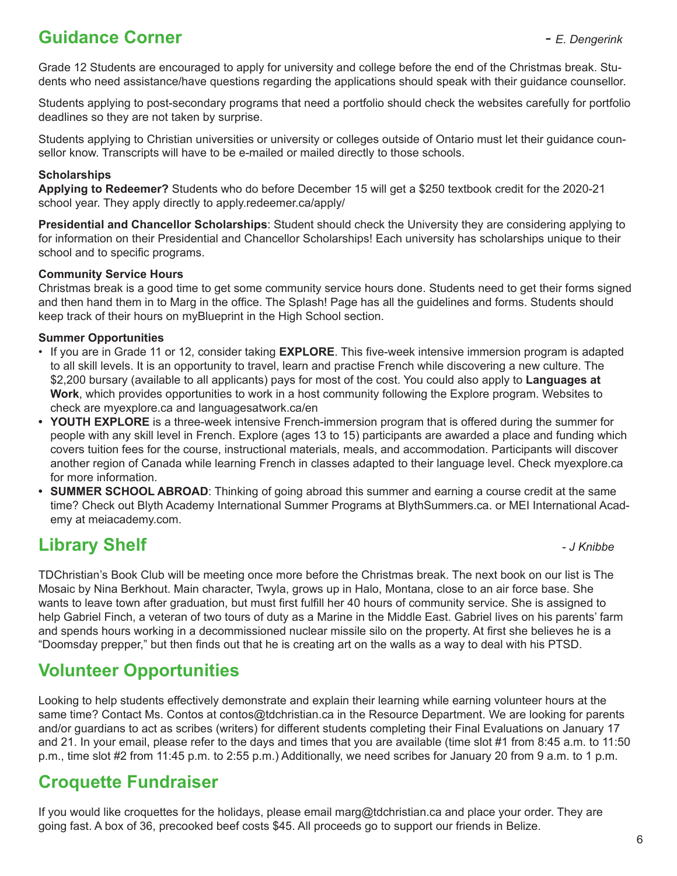# **Guidance Corner** *- E. Dengerink*

Grade 12 Students are encouraged to apply for university and college before the end of the Christmas break. Students who need assistance/have questions regarding the applications should speak with their guidance counsellor.

Students applying to post-secondary programs that need a portfolio should check the websites carefully for portfolio deadlines so they are not taken by surprise.

Students applying to Christian universities or university or colleges outside of Ontario must let their guidance counsellor know. Transcripts will have to be e-mailed or mailed directly to those schools.

#### **Scholarships**

**Applying to Redeemer?** Students who do before December 15 will get a \$250 textbook credit for the 2020-21 school year. They apply directly to apply.redeemer.ca/apply/

**Presidential and Chancellor Scholarships**: Student should check the University they are considering applying to for information on their Presidential and Chancellor Scholarships! Each university has scholarships unique to their school and to specific programs.

#### **Community Service Hours**

Christmas break is a good time to get some community service hours done. Students need to get their forms signed and then hand them in to Marg in the office. The Splash! Page has all the guidelines and forms. Students should keep track of their hours on myBlueprint in the High School section.

#### **Summer Opportunities**

- If you are in Grade 11 or 12, consider taking **EXPLORE**. This five-week intensive immersion program is adapted to all skill levels. It is an opportunity to travel, learn and practise French while discovering a new culture. The \$2,200 bursary (available to all applicants) pays for most of the cost. You could also apply to **Languages at Work**, which provides opportunities to work in a host community following the Explore program. Websites to check are myexplore.ca and languagesatwork.ca/en
- **• YOUTH EXPLORE** is a three-week intensive French-immersion program that is offered during the summer for people with any skill level in French. Explore (ages 13 to 15) participants are awarded a place and funding which covers tuition fees for the course, instructional materials, meals, and accommodation. Participants will discover another region of Canada while learning French in classes adapted to their language level. Check myexplore.ca for more information.
- **• SUMMER SCHOOL ABROAD**: Thinking of going abroad this summer and earning a course credit at the same time? Check out Blyth Academy International Summer Programs at BlythSummers.ca. or MEI International Academy at meiacademy.com.

## **Library Shelf** *Contract Contract Contract Contract Contract Contract Contract Contract Contract Contract Contract Contract Contract Contract Contract Contract Contract Contract Contract Contract Contract Contract Contra*

TDChristian's Book Club will be meeting once more before the Christmas break. The next book on our list is The Mosaic by Nina Berkhout. Main character, Twyla, grows up in Halo, Montana, close to an air force base. She wants to leave town after graduation, but must first fulfill her 40 hours of community service. She is assigned to help Gabriel Finch, a veteran of two tours of duty as a Marine in the Middle East. Gabriel lives on his parents' farm and spends hours working in a decommissioned nuclear missile silo on the property. At first she believes he is a "Doomsday prepper," but then finds out that he is creating art on the walls as a way to deal with his PTSD.

## **Volunteer Opportunities**

Looking to help students effectively demonstrate and explain their learning while earning volunteer hours at the same time? Contact Ms. Contos at contos@tdchristian.ca in the Resource Department. We are looking for parents and/or guardians to act as scribes (writers) for different students completing their Final Evaluations on January 17 and 21. In your email, please refer to the days and times that you are available (time slot #1 from 8:45 a.m. to 11:50 p.m., time slot #2 from 11:45 p.m. to 2:55 p.m.) Additionally, we need scribes for January 20 from 9 a.m. to 1 p.m.

#### **Croquette Fundraiser**

If you would like croquettes for the holidays, please email marg@tdchristian.ca and place your order. They are going fast. A box of 36, precooked beef costs \$45. All proceeds go to support our friends in Belize.